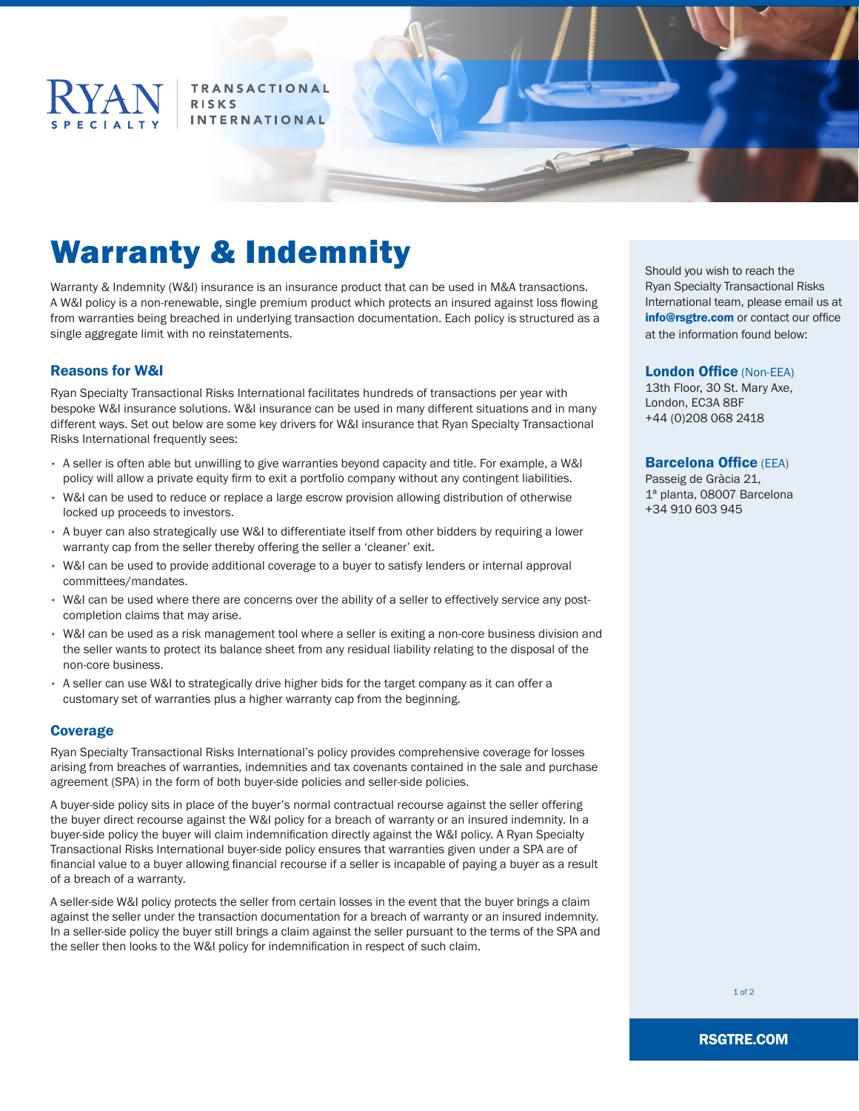

**TRANSACTIONAL RISKS INTERNATIONAL** 

# Warranty & Indemnity

Warranty & Indemnity (W&I) insurance is an insurance product that can be used in M&A transactions. A W&I policy is a non-renewable, single premium product which protects an insured against loss flowing from warranties being breached in underlying transaction documentation. Each policy is structured as a single aggregate limit with no reinstatements.

# Reasons for W&I

Ryan Specialty Transactional Risks International facilitates hundreds of transactions per year with bespoke W&I insurance solutions. W&I insurance can be used in many different situations and in many different ways. Set out below are some key drivers for W&I insurance that Ryan Specialty Transactional Risks International frequently sees:

- A seller is often able but unwilling to give warranties beyond capacity and title. For example, a W&I policy will allow a private equity firm to exit a portfolio company without any contingent liabilities.
- W&I can be used to reduce or replace a large escrow provision allowing distribution of otherwise locked up proceeds to investors.
- A buyer can also strategically use W&I to differentiate itself from other bidders by requiring a lower warranty cap from the seller thereby offering the seller a 'cleaner' exit.
- W&I can be used to provide additional coverage to a buyer to satisfy lenders or internal approval committees/mandates.
- W&I can be used where there are concerns over the ability of a seller to effectively service any postcompletion claims that may arise.
- W&I can be used as a risk management tool where a seller is exiting a non-core business division and the seller wants to protect its balance sheet from any residual liability relating to the disposal of the non-core business.
- A seller can use W&I to strategically drive higher bids for the target company as it can offer a customary set of warranties plus a higher warranty cap from the beginning.

## **Coverage**

Ryan Specialty Transactional Risks International's policy provides comprehensive coverage for losses arising from breaches of warranties, indemnities and tax covenants contained in the sale and purchase agreement (SPA) in the form of both buyer-side policies and seller-side policies.

A buyer-side policy sits in place of the buyer's normal contractual recourse against the seller offering the buyer direct recourse against the W&I policy for a breach of warranty or an insured indemnity. In a buyer-side policy the buyer will claim indemnification directly against the W&I policy. A Ryan Specialty Transactional Risks International buyer-side policy ensures that warranties given under a SPA are of financial value to a buyer allowing financial recourse if a seller is incapable of paying a buyer as a result of a breach of a warranty.

A seller-side W&I policy protects the seller from certain losses in the event that the buyer brings a claim against the seller under the transaction documentation for a breach of warranty or an insured indemnity. In a seller-side policy the buyer still brings a claim against the seller pursuant to the terms of the SPA and the seller then looks to the W&I policy for indemnification in respect of such claim.

Should you wish to reach the Ryan Specialty Transactional Risks International team, please email us at info@rsgtre.com or contact our office at the information found below:

#### London Office (Non-EEA)

13th Floor, 30 St. Mary Axe, London, EC3A 8BF +44 (0)208 068 2418

#### **Barcelona Office (EEA)**

Passeig de Gràcia 21, 1ª planta, 08007 Barcelona +34 910 603 945